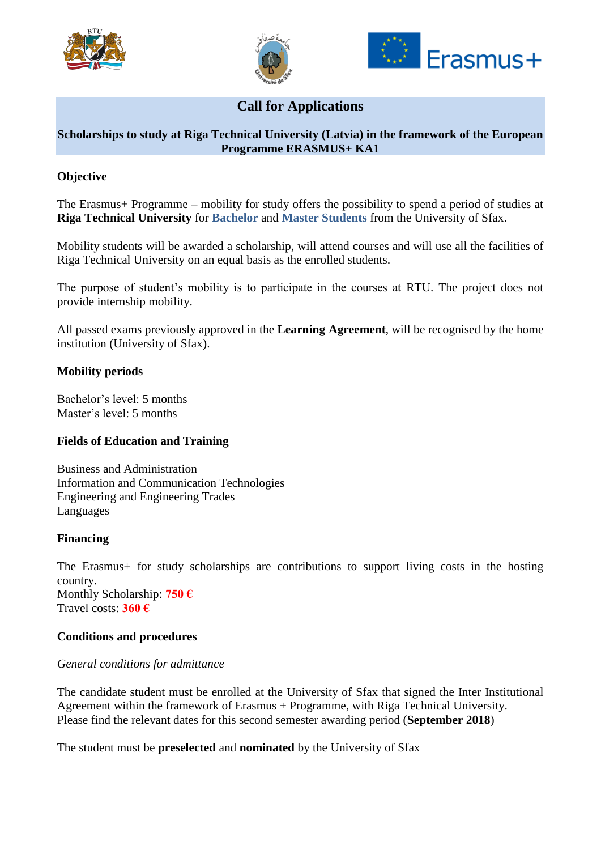





# **Call for Applications**

# **Scholarships to study at Riga Technical University (Latvia) in the framework of the European Programme ERASMUS+ KA1**

# **Objective**

The Erasmus+ Programme – mobility for study offers the possibility to spend a period of studies at **Riga Technical University** for **Bachelor** and **Master Students** from the University of Sfax.

Mobility students will be awarded a scholarship, will attend courses and will use all the facilities of Riga Technical University on an equal basis as the enrolled students.

The purpose of student's mobility is to participate in the courses at RTU. The project does not provide internship mobility.

All passed exams previously approved in the **Learning Agreement**, will be recognised by the home institution (University of Sfax).

### **Mobility periods**

Bachelor's level: 5 months Master's level: 5 months

### **Fields of Education and Training**

Business and Administration Information and Communication Technologies Engineering and Engineering Trades Languages

#### **Financing**

The Erasmus+ for study scholarships are contributions to support living costs in the hosting country. Monthly Scholarship: **750 €** Travel costs: **360 €**

### **Conditions and procedures**

#### *General conditions for admittance*

The candidate student must be enrolled at the University of Sfax that signed the Inter Institutional Agreement within the framework of Erasmus + Programme, with Riga Technical University. Please find the relevant dates for this second semester awarding period (**September 2018**)

The student must be **preselected** and **nominated** by the University of Sfax